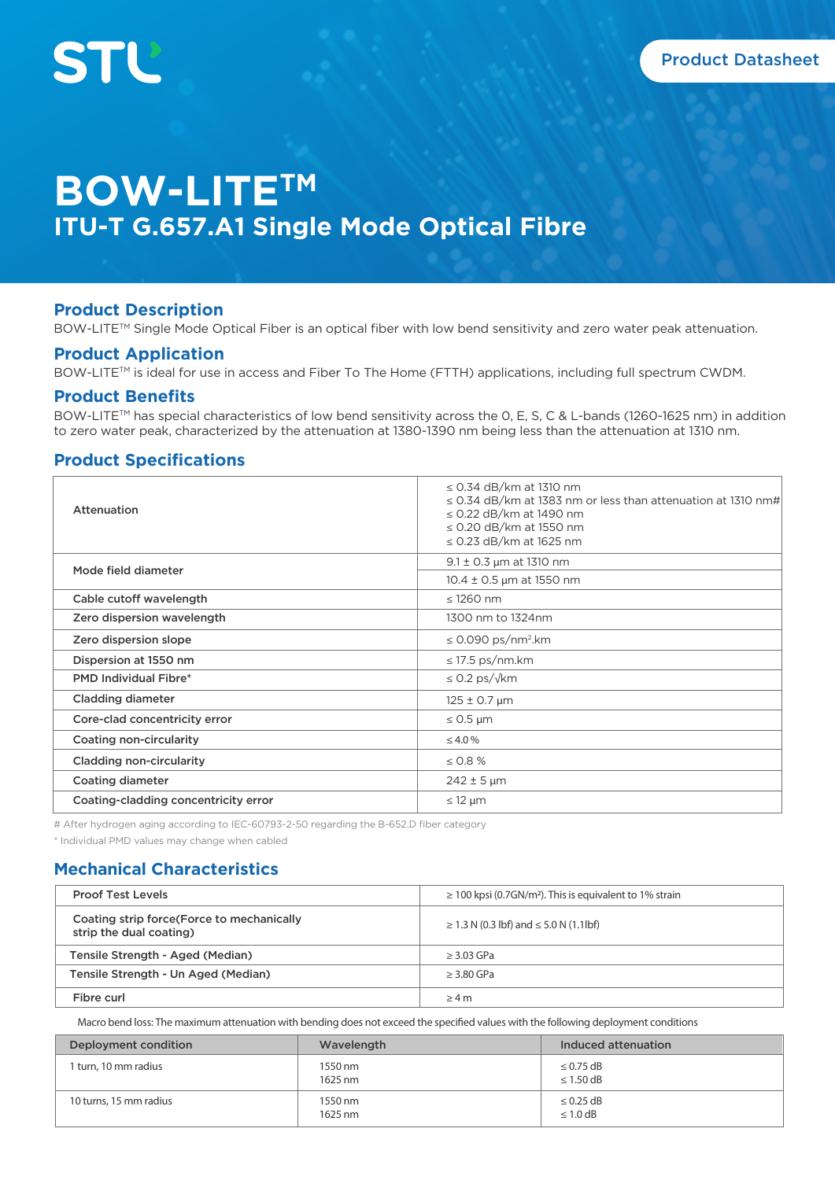# **BOW-LITETM ITU-T G.657.A1 Single Mode Optical Fibre**

## **Product Description**

BOW-LITE™ Single Mode Optical Fiber is an optical fiber with low bend sensitivity and zero water peak attenuation.

## **Product Application**

BOW-LITETM is ideal for use in access and Fiber To The Home (FTTH) applications, including full spectrum CWDM.

#### **Product Benefits**

BOW-LITE™ has special characteristics of low bend sensitivity across the 0, E, S, C & L-bands (1260-1625 nm) in addition to zero water peak, characterized by the attenuation at 1380-1390 nm being less than the attenuation at 1310 nm.

## **Product Specifications**

| Attenuation                          | $\leq$ 0.34 dB/km at 1310 nm<br>$\leq$ 0.34 dB/km at 1383 nm or less than attenuation at 1310 nm#<br>$\leq$ 0.22 dB/km at 1490 nm<br>$\leq$ 0.20 dB/km at 1550 nm<br>$\leq$ 0.23 dB/km at 1625 nm |
|--------------------------------------|---------------------------------------------------------------------------------------------------------------------------------------------------------------------------------------------------|
| Mode field diameter                  | $9.1 \pm 0.3$ µm at 1310 nm                                                                                                                                                                       |
|                                      | $10.4 \pm 0.5$ µm at 1550 nm                                                                                                                                                                      |
| Cable cutoff wavelength              | $\leq$ 1260 nm                                                                                                                                                                                    |
| Zero dispersion wavelength           | 1300 nm to 1324nm                                                                                                                                                                                 |
| Zero dispersion slope                | $\leq$ 0.090 ps/nm <sup>2</sup> .km                                                                                                                                                               |
| Dispersion at 1550 nm                | $\leq$ 17.5 ps/nm.km                                                                                                                                                                              |
| <b>PMD Individual Fibre*</b>         | $\leq$ 0.2 ps/ $\sqrt{k}$ m                                                                                                                                                                       |
| Cladding diameter                    | $125 \pm 0.7 \,\mu m$                                                                                                                                                                             |
| Core-clad concentricity error        | $\leq$ 0.5 µm                                                                                                                                                                                     |
| Coating non-circularity              | $\leq 4.0\%$                                                                                                                                                                                      |
| <b>Cladding non-circularity</b>      | $\leq 0.8 \%$                                                                                                                                                                                     |
| <b>Coating diameter</b>              | $242 \pm 5 \,\text{µm}$                                                                                                                                                                           |
| Coating-cladding concentricity error | $\leq$ 12 µm                                                                                                                                                                                      |

# After hydrogen aging according to IEC-60793-2-50 regarding the B-652.D fiber category

\* Individual PMD values may change when cabled

# **Mechanical Characteristics**

| <b>Proof Test Levels</b>                                              | $\geq$ 100 kpsi (0.7GN/m <sup>2</sup> ). This is equivalent to 1% strain |  |
|-----------------------------------------------------------------------|--------------------------------------------------------------------------|--|
| Coating strip force (Force to mechanically<br>strip the dual coating) | $\geq$ 1.3 N (0.3 lbf) and $\leq$ 5.0 N (1.1lbf)                         |  |
| Tensile Strength - Aged (Median)                                      | $\geq$ 3.03 GPa                                                          |  |
| Tensile Strength - Un Aged (Median)                                   | $\geq$ 3.80 GPa                                                          |  |
| Fibre curl                                                            | $\geq 4$ m                                                               |  |

Macro bend loss: The maximum attenuation with bending does not exceed the specified values with the following deployment conditions

| Deployment condition   | Wavelength         | Induced attenuation              |
|------------------------|--------------------|----------------------------------|
| 1 turn, 10 mm radius   | 1550 nm<br>1625 nm | $\leq$ 0.75 dB<br>$\leq 1.50$ dB |
| 10 turns, 15 mm radius | 1550 nm<br>1625 nm | $\leq$ 0.25 dB<br>$\leq 1.0$ dB  |